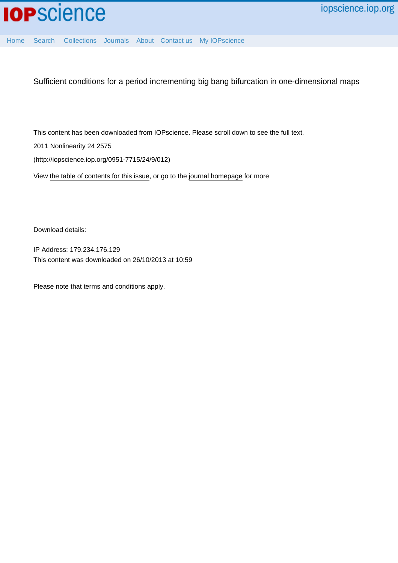

[Home](http://iopscience.iop.org/) [Search](http://iopscience.iop.org/search) [Collections](http://iopscience.iop.org/collections) [Journals](http://iopscience.iop.org/journals) [About](http://iopscience.iop.org/page/aboutioppublishing) [Contact us](http://iopscience.iop.org/contact) [My IOPscience](http://iopscience.iop.org/myiopscience)

Sufficient conditions for a period incrementing big bang bifurcation in one-dimensional maps

This content has been downloaded from IOPscience. Please scroll down to see the full text.

2011 Nonlinearity 24 2575

(http://iopscience.iop.org/0951-7715/24/9/012)

View [the table of contents for this issue](http://iopscience.iop.org/0951-7715/24/9), or go to the [journal homepage](http://iopscience.iop.org/0951-7715) for more

Download details:

IP Address: 179.234.176.129 This content was downloaded on 26/10/2013 at 10:59

Please note that [terms and conditions apply.](iopscience.iop.org/page/terms)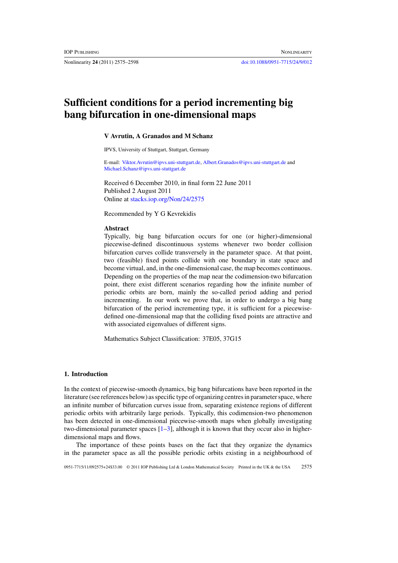Nonlinearity **24** (2011) 2575–2598 [doi:10.1088/0951-7715/24/9/012](http://dx.doi.org/10.1088/0951-7715/24/9/012)

# **Sufficient conditions for a period incrementing big bang bifurcation in one-dimensional maps**

# **V Avrutin, A Granados and M Schanz**

IPVS, University of Stuttgart, Stuttgart, Germany

E-mail: [Viktor.Avrutin@ipvs.uni-stuttgart.de,](mailto: Viktor.Avrutin@ipvs.uni-stuttgart.de) [Albert.Granados@ipvs.uni-stuttgart.de](mailto: Albert.Granados@ipvs.uni-stuttgart.de) and [Michael.Schanz@ipvs.uni-stuttgart.de](mailto: Michael.Schanz@ipvs.uni-stuttgart.de)

Received 6 December 2010, in final form 22 June 2011 Published 2 August 2011 Online at [stacks.iop.org/Non/24/2575](http://stacks.iop.org/no/24/2575)

Recommended by Y G Kevrekidis

## **Abstract**

Typically, big bang bifurcation occurs for one (or higher)-dimensional piecewise-defined discontinuous systems whenever two border collision bifurcation curves collide transversely in the parameter space. At that point, two (feasible) fixed points collide with one boundary in state space and become virtual, and, in the one-dimensional case, the map becomes continuous. Depending on the properties of the map near the codimension-two bifurcation point, there exist different scenarios regarding how the infinite number of periodic orbits are born, mainly the so-called period adding and period incrementing. In our work we prove that, in order to undergo a big bang bifurcation of the period incrementing type, it is sufficient for a piecewisedefined one-dimensional map that the colliding fixed points are attractive and with associated eigenvalues of different signs.

Mathematics Subject Classification: 37E05, 37G15

# **1. Introduction**

In the context of piecewise-smooth dynamics, big bang bifurcations have been reported in the literature (see references below) as specific type of organizing centres in parameter space, where an infinite number of bifurcation curves issue from, separating existence regions of different periodic orbits with arbitrarily large periods. Typically, this codimension-two phenomenon has been detected in one-dimensional piecewise-smooth maps when globally investigating two-dimensional parameter spaces  $[1-3]$ , although it is known that they occur also in higherdimensional maps and flows.

The importance of these points bases on the fact that they organize the dynamics in the parameter space as all the possible periodic orbits existing in a neighbourhood of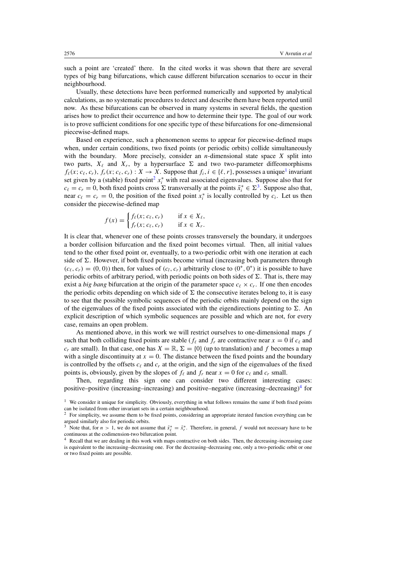<span id="page-2-0"></span>such a point are 'created' there. In the cited works it was shown that there are several types of big bang bifurcations, which cause different bifurcation scenarios to occur in their neighbourhood.

Usually, these detections have been performed numerically and supported by analytical calculations, as no systematic procedures to detect and describe them have been reported until now. As these bifurcations can be observed in many systems in several fields, the question arises how to predict their occurrence and how to determine their type. The goal of our work is to prove sufficient conditions for one specific type of these bifurcations for one-dimensional piecewise-defined maps.

Based on experience, such a phenomenon seems to appear for piecewise-defined maps when, under certain conditions, two fixed points (or periodic orbits) collide simultaneously with the boundary. More precisely, consider an *n*-dimensional state space *X* split into two parts,  $X_{\ell}$  and  $X_{r}$ , by a hypersurface  $\Sigma$  and two two-parameter diffeomorphisms  $f_{\ell}(x; c_{\ell}, c_r)$ ,  $f_r(x; c_{\ell}, c_r)$ :  $X \to X$ . Suppose that  $f_i, i \in {\ell, r}$ , possesses a unique<sup>1</sup> invariant set given by a (stable) fixed point<sup>2</sup>  $x_i^*$  with real associated eigenvalues. Suppose also that for  $c_{\ell} = c_r = 0$ , both fixed points cross  $\Sigma$  transversally at the points  $\tilde{x}_i^* \in \Sigma^3$ . Suppose also that, near  $c_{\ell} = c_r = 0$ , the position of the fixed point  $x_i^*$  is locally controlled by  $c_i$ . Let us then consider the piecewise-defined map

$$
f(x) = \begin{cases} f_{\ell}(x; c_{\ell}, c_r) & \text{if } x \in X_{\ell}, \\ f_r(x; c_{\ell}, c_r) & \text{if } x \in X_r. \end{cases}
$$

It is clear that, whenever one of these points crosses transversely the boundary, it undergoes a border collision bifurcation and the fixed point becomes virtual. Then, all initial values tend to the other fixed point or, eventually, to a two-periodic orbit with one iteration at each side of  $\Sigma$ . However, if both fixed points become virtual (increasing both parameters through  $(c_{\ell}, c_r) = (0, 0)$  then, for values of  $(c_l, c_r)$  arbitrarily close to  $(0^+, 0^+)$  it is possible to have periodic orbits of arbitrary period, with periodic points on both sides of  $\Sigma$ . That is, there may exist a *big bang* bifurcation at the origin of the parameter space  $c_{\ell} \times c_{r}$ . If one then encodes the periodic orbits depending on which side of  $\Sigma$  the consecutive iterates belong to, it is easy to see that the possible symbolic sequences of the periodic orbits mainly depend on the sign of the eigenvalues of the fixed points associated with the eigendirections pointing to  $\Sigma$ . An explicit description of which symbolic sequences are possible and which are not, for every case, remains an open problem.

As mentioned above, in this work we will restrict ourselves to one-dimensional maps *f* such that both colliding fixed points are stable ( $f_\ell$  and  $f_r$  are contractive near  $x = 0$  if  $c_\ell$  and  $c_r$  are small). In that case, one has  $X = \mathbb{R}, \Sigma = \{0\}$  (up to translation) and f becomes a map with a single discontinuity at  $x = 0$ . The distance between the fixed points and the boundary is controlled by the offsets  $c_{\ell}$  and  $c_r$  at the origin, and the sign of the eigenvalues of the fixed points is, obviously, given by the slopes of  $f_\ell$  and  $f_r$  near  $x = 0$  for  $c_\ell$  and  $c_r$  small.

Then, regarding this sign one can consider two different interesting cases: positive–positive (increasing–increasing) and positive–negative (increasing–decreasing)<sup>4</sup> for

<sup>&</sup>lt;sup>1</sup> We consider it unique for simplicity. Obviously, everything in what follows remains the same if both fixed points can be isolated from other invariant sets in a certain neighbourhood.

<sup>&</sup>lt;sup>2</sup> For simplicity, we assume them to be fixed points, considering an appropriate iterated function everything can be argued similarly also for periodic orbits.

<sup>&</sup>lt;sup>3</sup> Note that, for *n* > 1, we do not assume that  $\tilde{x}_{\ell}^* = \tilde{x}_r^*$ . Therefore, in general, *f* would not necessary have to be continuous at the codimension-two bifurcation point.

Recall that we are dealing in this work with maps contractive on both sides. Then, the decreasing–increasing case is equivalent to the increasing–decreasing one. For the decreasing–decreasing one, only a two-periodic orbit or one or two fixed points are possible.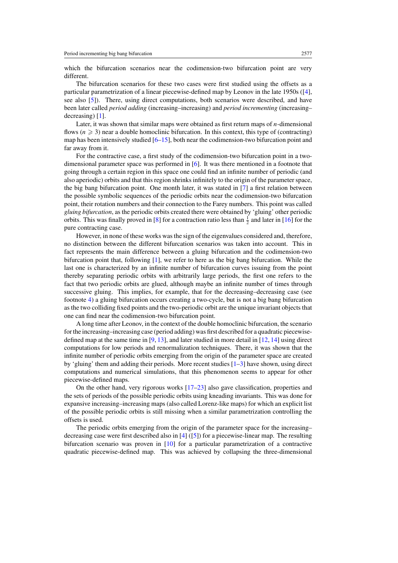which the bifurcation scenarios near the codimension-two bifurcation point are very different.

The bifurcation scenarios for these two cases were first studied using the offsets as a particular parametrization of a linear piecewise-defined map by Leonov in the late 1950s ([\[4\]](#page-24-0), see also [\[5\]](#page-24-0)). There, using direct computations, both scenarios were described, and have been later called *period adding* (increasing–increasing) and *period incrementing* (increasing– decreasing) [\[1\]](#page-24-0).

Later, it was shown that similar maps were obtained as first return maps of *n*-dimensional flows  $(n \geq 3)$  near a double homoclinic bifurcation. In this context, this type of (contracting) map has been intensively studied  $[6–15]$ , both near the codimension-two bifurcation point and far away from it.

For the contractive case, a first study of the codimension-two bifurcation point in a twodimensional parameter space was performed in [\[6\]](#page-24-0). It was there mentioned in a footnote that going through a certain region in this space one could find an infinite number of periodic (and also aperiodic) orbits and that this region shrinks infinitely to the origin of the parameter space, the big bang bifurcation point. One month later, it was stated in [\[7\]](#page-24-0) a first relation between the possible symbolic sequences of the periodic orbits near the codimension-two bifurcation point, their rotation numbers and their connection to the Farey numbers. This point was called *gluing bifurcation*, as the periodic orbits created there were obtained by 'gluing' other periodic orbits. This was finally proved in [\[8\]](#page-24-0) for a contraction ratio less than  $\frac{1}{2}$  and later in [\[16\]](#page-24-0) for the pure contracting case.

However, in none of these works was the sign of the eigenvalues considered and, therefore, no distinction between the different bifurcation scenarios was taken into account. This in fact represents the main difference between a gluing bifurcation and the codimension-two bifurcation point that, following [\[1\]](#page-24-0), we refer to here as the big bang bifurcation. While the last one is characterized by an infinite number of bifurcation curves issuing from the point thereby separating periodic orbits with arbitrarily large periods, the first one refers to the fact that two periodic orbits are glued, although maybe an infinite number of times through successive gluing. This implies, for example, that for the decreasing–decreasing case (see footnote [4\)](#page-2-0) a gluing bifurcation occurs creating a two-cycle, but is not a big bang bifurcation as the two colliding fixed points and the two-periodic orbit are the unique invariant objects that one can find near the codimension-two bifurcation point.

A long time after Leonov, in the context of the double homoclinic bifurcation, the scenario for the increasing–increasing case (period adding) was first described for a quadratic piecewisedefined map at the same time in [\[9,](#page-24-0) [13\]](#page-24-0), and later studied in more detail in [\[12,](#page-24-0) [14\]](#page-24-0) using direct computations for low periods and renormalization techniques. There, it was shown that the infinite number of periodic orbits emerging from the origin of the parameter space are created by 'gluing' them and adding their periods. More recent studies  $[1-3]$  have shown, using direct computations and numerical simulations, that this phenomenon seems to appear for other piecewise-defined maps.

On the other hand, very rigorous works [\[17–23\]](#page-24-0) also gave classification, properties and the sets of periods of the possible periodic orbits using kneading invariants. This was done for expansive increasing–increasing maps (also called Lorenz-like maps) for which an explicit list of the possible periodic orbits is still missing when a similar parametrization controlling the offsets is used.

The periodic orbits emerging from the origin of the parameter space for the increasing– decreasing case were first described also in  $[4] ([5])$  $[4] ([5])$  $[4] ([5])$  $[4] ([5])$  for a piecewise-linear map. The resulting bifurcation scenario was proven in [\[10\]](#page-24-0) for a particular parametrization of a contractive quadratic piecewise-defined map. This was achieved by collapsing the three-dimensional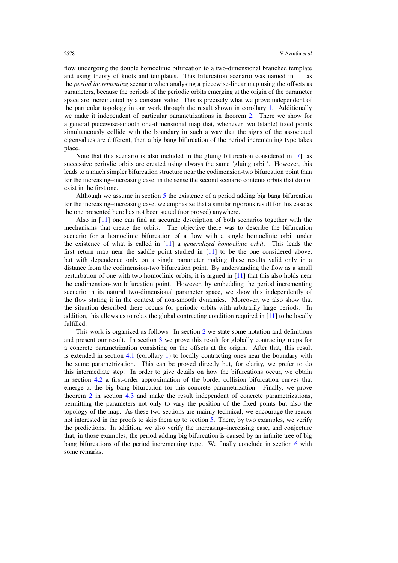flow undergoing the double homoclinic bifurcation to a two-dimensional branched template and using theory of knots and templates. This bifurcation scenario was named in [\[1\]](#page-24-0) as the *period incrementing* scenario when analysing a piecewise-linear map using the offsets as parameters, because the periods of the periodic orbits emerging at the origin of the parameter space are incremented by a constant value. This is precisely what we prove independent of the particular topology in our work through the result shown in corollary [1.](#page-14-0) Additionally we make it independent of particular parametrizations in theorem [2.](#page-7-0) There we show for a general piecewise-smooth one-dimensional map that, whenever two (stable) fixed points simultaneously collide with the boundary in such a way that the signs of the associated eigenvalues are different, then a big bang bifurcation of the period incrementing type takes place.

Note that this scenario is also included in the gluing bifurcation considered in [\[7\]](#page-24-0), as successive periodic orbits are created using always the same 'gluing orbit'. However, this leads to a much simpler bifurcation structure near the codimension-two bifurcation point than for the increasing–increasing case, in the sense the second scenario contents orbits that do not exist in the first one.

Although we assume in section [5](#page-17-0) the existence of a period adding big bang bifurcation for the increasing–increasing case, we emphasize that a similar rigorous result for this case as the one presented here has not been stated (nor proved) anywhere.

Also in [\[11\]](#page-24-0) one can find an accurate description of both scenarios together with the mechanisms that create the orbits. The objective there was to describe the bifurcation scenario for a homoclinic bifurcation of a flow with a single homoclinic orbit under the existence of what is called in [\[11\]](#page-24-0) a *generalized homoclinic orbit*. This leads the first return map near the saddle point studied in [\[11\]](#page-24-0) to be the one considered above, but with dependence only on a single parameter making these results valid only in a distance from the codimension-two bifurcation point. By understanding the flow as a small perturbation of one with two homoclinic orbits, it is argued in [\[11\]](#page-24-0) that this also holds near the codimension-two bifurcation point. However, by embedding the period incrementing scenario in its natural two-dimensional parameter space, we show this independently of the flow stating it in the context of non-smooth dynamics. Moreover, we also show that the situation described there occurs for periodic orbits with arbitrarily large periods. In addition, this allows us to relax the global contracting condition required in [\[11\]](#page-24-0) to be locally fulfilled.

This work is organized as follows. In section [2](#page-5-0) we state some notation and definitions and present our result. In section [3](#page-7-0) we prove this result for globally contracting maps for a concrete parametrization consisting on the offsets at the origin. After that, this result is extended in section [4.1](#page-13-0) (corollary [1\)](#page-14-0) to locally contracting ones near the boundary with the same parametrization. This can be proved directly but, for clarity, we prefer to do this intermediate step. In order to give details on how the bifurcations occur, we obtain in section [4.2](#page-14-0) a first-order approximation of the border collision bifurcation curves that emerge at the big bang bifurcation for this concrete parametrization. Finally, we prove theorem [2](#page-7-0) in section [4.3](#page-16-0) and make the result independent of concrete parametrizations, permitting the parameters not only to vary the position of the fixed points but also the topology of the map. As these two sections are mainly technical, we encourage the reader not interested in the proofs to skip them up to section [5.](#page-17-0) There, by two examples, we verify the predictions. In addition, we also verify the increasing–increasing case, and conjecture that, in those examples, the period adding big bifurcation is caused by an infinite tree of big bang bifurcations of the period incrementing type. We finally conclude in section [6](#page-22-0) with some remarks.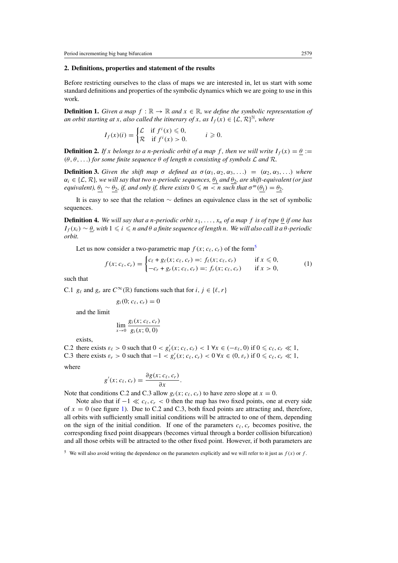## <span id="page-5-0"></span>**2. Definitions, properties and statement of the results**

Before restricting ourselves to the class of maps we are interested in, let us start with some standard definitions and properties of the symbolic dynamics which we are going to use in this work.

**Definition 1.** *Given a map*  $f : \mathbb{R} \to \mathbb{R}$  *and*  $x \in \mathbb{R}$ *, we define the symbolic representation of an orbit starting at x, also called the itinerary of x, as*  $I_f(x) \in \{L, \mathcal{R}\}^{\mathbb{N}}$ *, where* 

$$
I_f(x)(i) = \begin{cases} \mathcal{L} & \text{if } f^i(x) \leq 0, \\ \mathcal{R} & \text{if } f^i(x) > 0. \end{cases} \quad i \geq 0.
$$

**Definition 2.** If x belongs to a *n*-periodic orbit of a map f, then we will write  $I_f(x) = \theta$  :=  $(\theta, \theta, \ldots)$  *for some finite sequence*  $\theta$  *of length n consisting of symbols*  $\mathcal L$  *and*  $\mathcal R$ *.* 

**Definition 3.** Given the shift map  $\sigma$  defined as  $\sigma(\alpha_1, \alpha_2, \alpha_3, ...)$  =  $(\alpha_2, \alpha_3, ...)$  where *αi* ∈ {L*,* R}*, we will say that two n-periodic sequences, θ*<sup>1</sup> *and θ*2*, are shift-equivalent (or just equivalent),*  $\theta_1 \sim \theta_2$ , *if, and only if, there exists*  $0 \leq m \leq n$  *such that*  $\sigma^m(\theta_1) = \theta_2$ .

It is easy to see that the relation ∼ defines an equivalence class in the set of symbolic sequences.

**Definition 4.** We will say that a *n-periodic orbit*  $x_1, \ldots, x_n$  *of a map f is of type*  $\theta$  *if one has*  $I_f(x_i) \sim \underline{\theta}$ , with  $1 \leq i \leq n$  *and*  $\theta$  *a* finite sequence of length *n*. We will also call it a  $\theta$ -periodic *orbit.*

Let us now consider a two-parametric map  $f(x; c_{\ell}, c_r)$  of the form<sup>5</sup>

$$
f(x; c_{\ell}, c_r) = \begin{cases} c_{\ell} + g_{\ell}(x; c_{\ell}, c_r) =: f_{\ell}(x; c_{\ell}, c_r) & \text{if } x \leq 0, \\ -c_r + g_r(x; c_{\ell}, c_r) =: f_r(x; c_{\ell}, c_r) & \text{if } x > 0, \end{cases}
$$
(1)

such that

C.1 *g*<sub> $\ell$ </sub> and *g<sub>r</sub>* are  $C^{\infty}(\mathbb{R})$  functions such that for *i*, *j* ∈ { $\ell$ , *r*}

 $g_i(0; c_\ell, c_r) = 0$ 

and the limit

$$
\lim_{x\to 0}\frac{g_i(x; c_\ell, c_r)}{g_i(x; 0, 0)}
$$

exists,

C.2 there exists  $\varepsilon_{\ell} > 0$  such that  $0 < g'_{\ell}(x; c_{\ell}, c_r) < 1 \ \forall x \in (-\varepsilon_{\ell}, 0)$  if  $0 \leq c_{\ell}, c_r \ll 1$ , C.3 there exists  $\varepsilon_r > 0$  such that  $-1 < g'_r(x; c_\ell, c_r) < 0 \forall x \in (0, \varepsilon_r)$  if  $0 \leq c_\ell, c_r \ll 1$ ,

where

$$
g'(x; c_{\ell}, c_r) = \frac{\partial g(x; c_{\ell}, c_r)}{\partial x}.
$$

Note that conditions C.2 and C.3 allow  $g_i(x; c_\ell, c_r)$  to have zero slope at  $x = 0$ .

Note also that if  $-1 \ll c_{\ell}, c_{r} < 0$  then the map has two fixed points, one at every side of  $x = 0$  (see figure [1\)](#page-6-0). Due to C.2 and C.3, both fixed points are attracting and, therefore, all orbits with sufficiently small initial conditions will be attracted to one of them, depending on the sign of the initial condition. If one of the parameters  $c_f$ ,  $c_r$  becomes positive, the corresponding fixed point disappears (becomes virtual through a border collision bifurcation) and all those orbits will be attracted to the other fixed point. However, if both parameters are

<sup>&</sup>lt;sup>5</sup> We will also avoid writing the dependence on the parameters explicitly and we will refer to it just as  $f(x)$  or  $f$ .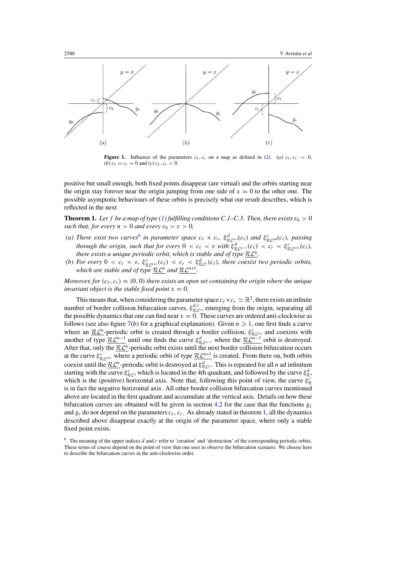<span id="page-6-0"></span>

**Figure 1.** Influence of the parameters  $c_{\ell}, c_r$  on a map as defined in [\(2\)](#page-7-0). (*a*)  $c_{\ell}, c_r < 0$ , (*b*)  $c_{\ell} = c_r = 0$  and (*c*)  $c_{\ell}, c_r > 0$ .

positive but small enough, both fixed points disappear (are virtual) and the orbits starting near the origin stay forever near the origin jumping from one side of  $x = 0$  to the other one. The possible asymptotic behaviours of these orbits is precisely what our result describes, which is reflected in the next

**Theorem 1.** Let f be a map of type [\(1\)](#page-5-0) fulfilling conditions C.1–C.3. Then, there exists  $\varepsilon_0 > 0$ *such that, for every*  $n > 0$  *and every*  $\varepsilon_0 > \varepsilon > 0$ *,* 

- *(a) There exist two curves*<sup>6</sup> *in parameter space*  $c_{\ell} \times c_r$ ,  $\xi_{\mathcal{RL}^{-1}}^d(c_{\ell})$  *and*  $\xi_{\mathcal{RL}^{-m}}^c(c_{\ell})$ , *passing through the origin, such that for every*  $0 < c_{\ell} < \varepsilon$  with  $\xi_{\mathcal{R} \mathcal{L}^{n-1}}^d(c_{\ell}) < c_r < \xi_{\mathcal{R} \mathcal{L}^{n+1}}^c(c_{\ell}),$ *there exists a unique periodic orbit, which is stable and of type* RL*n.*
- *(b) For every*  $0 < c_{\ell} < \varepsilon$ ,  $\xi_{\mathcal{R} \mathcal{L}^{n+1}}^c(c_{\ell}) < c_r < \xi_{\mathcal{R} \mathcal{L}^n}^d(c_{\ell})$ , there coexist two periodic orbits, *which are stable and of type*  $\mathcal{RL}^n$  *and*  $\mathcal{RL}^{n+1}$ *.*

*Moreover, for*  $(c_{\ell}, c_r) = (0, 0)$  *there exists an open set containing the origin where the unique invariant object is the stable fixed point*  $x = 0$ *.* 

This means that, when considering the parameter space  $c_{\ell} \times c_r \simeq \mathbb{R}^2$ , there exists an infinite number of border collision bifurcation curves,  $\xi_{\mathcal{RL}^n}^{d,c}$ , emerging from the origin, separating all the possible dynamics that one can find near  $x = 0$ . These curves are ordered anti-clockwise as follows (see also figure  $7(b)$  $7(b)$  for a graphical explanation). Given  $n \ge 1$ , one first finds a curve where an  $\underline{\mathcal{RL}}^n$ -periodic orbit is created through a border collision,  $\xi^c_{\mathcal{RL}^n}$ , and coexists with another of type  $\underline{\mathcal{RL}}^{n-1}$  until one finds the curve  $\xi_{\mathcal{RL}}^d$  where the  $\underline{\mathcal{RL}}^{n-1}$  orbit is destroyed. After that, only the  $\mathcal{RL}^n$ -periodic orbit exists until the next border collision bifurcation occurs at the curve  $\xi_{\mathcal{R}L^{n+1}}^c$  where a periodic orbit of type  $\underline{\mathcal{R}L^{n+1}}$  is created. From there on, both orbits coexist until the  $\mathcal{RL}^n$ -periodic orbit is destroyed at  $\xi^d_{\mathcal{RL}^n}$ . This is repeated for all *n* ad infinitum starting with the curve  $\xi_{\mathcal{RL}}^c$ , which is located in the 4th quadrant, and followed by the curve  $\xi_{\mathcal{R}}^d$ , which is the (positive) horizontal axis. Note that, following this point of view, the curve  $\xi_p^c$  $R$  is in fact the negative horizontal axis. All other border collision bifurcation curves mentioned above are located in the first quadrant and accumulate at the vertical axis. Details on how these bifurcation curves are obtained will be given in section [4.2](#page-14-0) for the case that the functions  $g_{\ell}$ and  $g_r$  do not depend on the parameters  $c_\ell$ ,  $c_r$ . As already stated in theorem 1, all the dynamics described above disappear exactly at the origin of the parameter space, where only a stable fixed point exists.

<sup>6</sup> The meaning of the upper indices *d* and *c* refer to 'creation' and 'destruction' of the corresponding periodic orbits. These terms of course depend on the point of view that one uses to observe the bifurcation scenario. We choose here to describe the bifurcation curves in the anti-clockwise order.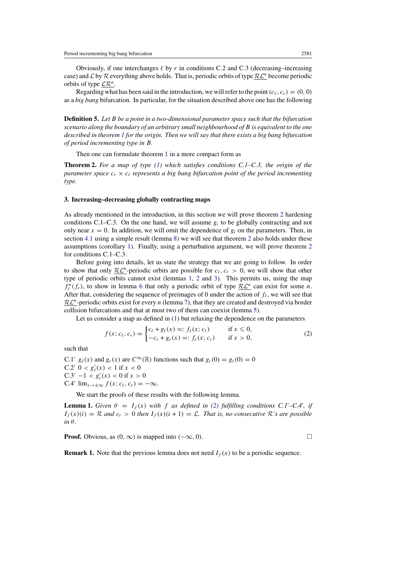<span id="page-7-0"></span>Obviously, if one interchanges  $\ell$  by r in conditions C.2 and C.3 (decreasing–increasing case) and  $\mathcal L$  by  $\mathcal R$  everything above holds. That is, periodic orbits of type  $\mathcal R\mathcal L^n$  become periodic orbits of type LR*n*.

Regarding what has been said in the introduction, we will refer to the point  $(c_f, c_r) = (0, 0)$ as a *big bang* bifurcation. In particular, for the situation described above one has the following

**Definition 5.** *Let B be a point in a two-dimensional parameter space such that the bifurcation scenario along the boundary of an arbitrary small neighbourhood of B is equivalent to the one described in theorem [1](#page-6-0) for the origin. Then we will say that there exists a big bang bifurcation of period incrementing type in B.*

Then one can formulate theorem [1](#page-6-0) in a more compact form as

**Theorem 2.** *For a map of type [\(1\)](#page-5-0) which satisfies conditions C.1–C.3, the origin of the parameter space*  $c_r \times c_\ell$  *represents a big bang bifurcation point of the period incrementing type.*

## **3. Increasing–decreasing globally contracting maps**

As already mentioned in the introduction, in this section we will prove theorem 2 hardening conditions C.1–C.3. On the one hand, we will assume  $g_i$  to be globally contracting and not only near  $x = 0$ . In addition, we will omit the dependence of  $g_i$  on the parameters. Then, in section [4.1](#page-13-0) using a simple result (lemma [8\)](#page-14-0) we will see that theorem 2 also holds under these assumptions (corollary [1\)](#page-14-0). Finally, using a perturbation argument, we will prove theorem 2 for conditions C.1–C.3.

Before going into details, let us state the strategy that we are going to follow. In order to show that only  $\mathcal{RL}^n$ -periodic orbits are possible for  $c_\ell, c_r > 0$ , we will show that other type of periodic orbits cannot exist (lemmas 1, [2](#page-8-0) and [3\)](#page-8-0). This permits us, using the map  $f_{\ell}^{n}(f_{r})$ , to show in lemma [6](#page-11-0) that only a periodic orbit of type  $\underline{\mathcal{RL}}^{n}$  can exist for some *n*. After that, considering the sequence of preimages of 0 under the action of  $f_\ell$ , we will see that RL*<sup>n</sup>*-periodic orbits exist for every *<sup>n</sup>* (lemma [7\)](#page-12-0), that they are created and destroyed via border collision bifurcations and that at most two of them can coexist (lemma [5\)](#page-10-0).

Let us consider a map as defined in [\(1\)](#page-5-0) but relaxing the dependence on the parameters

$$
f(x; c_{\ell}, c_r) = \begin{cases} c_{\ell} + g_{\ell}(x) =: f_{\ell}(x; c_{\ell}) & \text{if } x \leq 0, \\ -c_r + g_r(x) =: f_r(x; c_r) & \text{if } x > 0, \end{cases}
$$
(2)

such that

C.1'  $g_{\ell}(x)$  and  $g_r(x)$  are  $C^{\infty}(\mathbb{R})$  functions such that  $g_r(0) = g_{\ell}(0) = 0$ C.2'  $0 < g'_{\ell}(x) < 1$  if  $x < 0$  $C.3' -1 < g'_r(x) < 0$  if  $x > 0$ C.4'  $\lim_{x\to\pm\infty} f(x; c_\ell, c_r) = -\infty$ .

We start the proofs of these results with the following lemma.

**Lemma 1.** *Given*  $\theta = I_f(x)$  *with f* as defined in (2) fulfilling conditions C.1'–C.4', if  $I_f(x)(i) = \mathcal{R}$  and  $c_r > 0$  then  $I_f(x)(i + 1) = \mathcal{L}$ . That is, no consecutive  $\mathcal{R}$ 's are possible *in θ.*

**Proof.** Obvious, as  $(0, ∞)$  is mapped into  $(−∞, 0)$ .  $□$ 

**Remark 1.** Note that the previous lemma does not need  $I_f(x)$  to be a periodic sequence.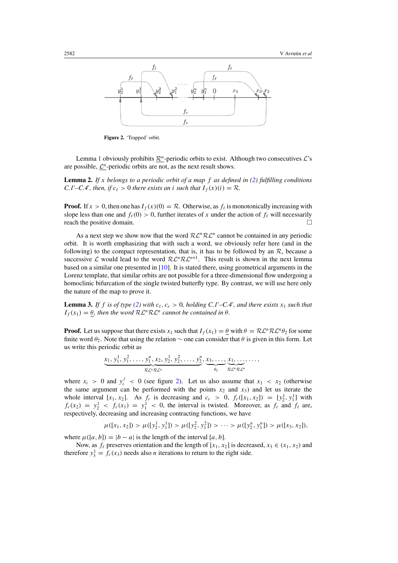<span id="page-8-0"></span>

**Figure 2.** 'Trapped' orbit.

Lemma [1](#page-7-0) obviously prohibits  $\mathcal{R}^n$ -periodic orbits to exist. Although two consecutives  $\mathcal{L}^s$ s are possible,  $\mathcal{L}^n$ -periodic orbits are not, as the next result shows.

**Lemma 2.** *If x belongs to a periodic orbit of a map f as defined in [\(2\)](#page-7-0) fulfilling conditions C.1'* $-C.4'$ *, then, if*  $c_{\ell} > 0$  *there exists an i such that*  $I_f(x)(i) = R$ *.* 

**Proof.** If  $x > 0$ , then one has  $I_f(x)(0) = \mathcal{R}$ . Otherwise, as  $f_\ell$  is monotonically increasing with slope less than one and  $f_{\ell}(0) > 0$ , further iterates of *x* under the action of  $f_{\ell}$  will necessarily reach the positive domain.

As a next step we show now that the word  $\mathcal{RL}^n\mathcal{RL}^n$  cannot be contained in any periodic orbit. It is worth emphasizing that with such a word, we obviously refer here (and in the following) to the compact representation, that is, it has to be followed by an  $\mathcal{R}$ , because a successive  $\mathcal L$  would lead to the word  $\mathcal{R}\mathcal{L}^n\mathcal{R}\mathcal{L}^{n+1}$ . This result is shown in the next lemma based on a similar one presented in [\[10\]](#page-24-0). It is stated there, using geometrical arguments in the Lorenz template, that similar orbits are not possible for a three-dimensional flow undergoing a homoclinic bifurcation of the single twisted butterfly type. By contrast, we will use here only the nature of the map to prove it.

**Lemma 3.** If f is of type [\(2\)](#page-7-0) with  $c_{\ell}$ ,  $c_r > 0$ , holding C.1'–C.4', and there exists  $x_1$  such that  $I_f(x_1) = \underline{\theta}$ , then the word  $\mathcal{R} \mathcal{L}^n \mathcal{R} \mathcal{L}^n$  cannot be contained in  $\theta$ .

**Proof.** Let us suppose that there exists  $x_1$  such that  $I_f(x_1) = \theta$  with  $\theta = \mathcal{R} \mathcal{L}^n \mathcal{R} \mathcal{L}^n \theta_2$  for some finite word  $\theta_2$ . Note that using the relation  $\sim$  one can consider that  $\theta$  is given in this form. Let us write this periodic orbit as

$$
\underbrace{x_1, y_1^1, y_1^2, \dots, y_1^n, x_2, y_2^1, y_2^2, \dots, y_2^n}_{\mathcal{R} \mathcal{L}^n \mathcal{R} \mathcal{L}^n}, \underbrace{x_3, \dots, x_1, \dots,}_{\theta_2}, \dots,
$$

where  $x_i > 0$  and  $y_i^j < 0$  (see figure 2). Let us also assume that  $x_1 < x_2$  (otherwise the same argument can be performed with the points  $x_2$  and  $x_3$ ) and let us iterate the whole interval  $[x_1, x_2]$ . As  $f_r$  is decreasing and  $c_r > 0$ ,  $f_r([x_1, x_2]) = [y_2^1, y_1^1]$  with  $f_r(x_2) = y_2^1 < f_r(x_1) = y_1^1 < 0$ , the interval is twisted. Moreover, as  $f_r$  and  $f_\ell$  are, respectively, decreasing and increasing contracting functions, we have

$$
\mu([x_1, x_2]) > \mu([y_2^1, y_1^1]) > \mu([y_2^2, y_1^2]) > \cdots > \mu([y_2^n, y_1^n]) > \mu([x_3, x_2]),
$$

where  $\mu([a, b]) = |b - a|$  is the length of the interval [a, b].

Now, as  $f_{\ell}$  preserves orientation and the length of [ $x_1, x_2$ ] is decreased,  $x_3 \in (x_1, x_2)$  and therefore  $y_3^1 = f_r(x_3)$  needs also *n* iterations to return to the right side.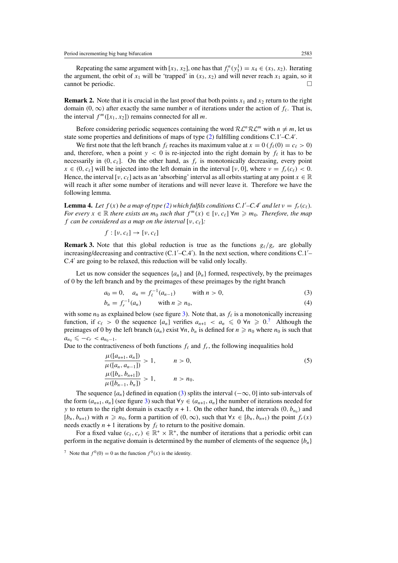<span id="page-9-0"></span>Repeating the same argument with  $[x_3, x_2]$ , one has that  $f_l^n(y_3^1) = x_4 \in (x_3, x_2)$ . Iterating the argument, the orbit of  $x_1$  will be 'trapped' in  $(x_3, x_2)$  and will never reach  $x_1$  again, so it cannot be periodic.

**Remark 2.** Note that it is crucial in the last proof that both points  $x_1$  and  $x_2$  return to the right domain  $(0, \infty)$  after exactly the same number *n* of iterations under the action of  $f_\ell$ . That is, the interval  $f^m([x_1, x_2])$  remains connected for all *m*.

Before considering periodic sequences containing the word  $\mathcal{RL}^n\mathcal{RL}^m$  with  $n \neq m$ , let us state some properties and definitions of maps of type [\(2\)](#page-7-0) fulfilling conditions C.1'-C.4'.

We first note that the left branch  $f_\ell$  reaches its maximum value at  $x = 0$  ( $f_\ell(0) = c_\ell > 0$ ) and, therefore, when a point  $y < 0$  is re-injected into the right domain by  $f_{\ell}$  it has to be necessarily in  $(0, c_{\ell})$ . On the other hand, as  $f_r$  is monotonically decreasing, every point  $x \in (0, c_\ell]$  will be injected into the left domain in the interval [*ν*, 0], where  $v = f_r(c_\ell) < 0$ . Hence, the interval [*v*,  $c_\ell$ ] acts as an 'absorbing' interval as all orbits starting at any point  $x \in \mathbb{R}$ will reach it after some number of iterations and will never leave it. Therefore we have the following lemma.

**Lemma 4.** Let  $f(x)$  be a map of type [\(2\)](#page-7-0) which fulfils conditions C.1'–C.4' and let  $v = f_r(c_\ell)$ . *For every*  $x \in \mathbb{R}$  *there exists an*  $m_0$  *such that*  $f^m(x) \in [v, c_\ell] \forall m \geq m_0$ *. Therefore, the map f can be considered as a map on the interval* [*ν, c*]*:*

$$
f:[v,c_{\ell}]\to[v,c_{\ell}]
$$

**Remark 3.** Note that this global reduction is true as the functions  $g_\ell/g_r$  are globally increasing/decreasing and contractive (C.1'-C.4'). In the next section, where conditions C.1'-C.4 are going to be relaxed, this reduction will be valid only locally.

Let us now consider the sequences  $\{a_n\}$  and  $\{b_n\}$  formed, respectively, by the preimages of 0 by the left branch and by the preimages of these preimages by the right branch

$$
a_0 = 0, \quad a_n = f_{\ell}^{-1}(a_{n-1}) \quad \text{with } n > 0,
$$
\n(3)

$$
b_n = f_r^{-1}(a_n) \qquad \text{with } n \geq n_0,\tag{4}
$$

with some  $n_0$  as explained below (see figure [3\)](#page-10-0). Note that, as  $f_\ell$  is a monotonically increasing function, if  $c_{\ell} > 0$  the sequence  $\{a_n\}$  verifies  $a_{n+1} < a_n \leq 0 \forall n \geq 0$ .<sup>7</sup> Although the preimages of 0 by the left branch  $(a_n)$  exist  $\forall n, b_n$  is defined for  $n \geq n_0$  where  $n_0$  is such that  $a_{n_0} \leqslant -c_r < a_{n_0-1}.$ 

Due to the contractiveness of both functions  $f_\ell$  and  $f_r$ , the following inequalities hold

$$
\frac{\mu([a_{n+1}, a_n])}{\mu([a_n, a_{n-1}])} > 1, \qquad n > 0,
$$
\n
$$
\frac{\mu([b_n, b_{n+1}])}{\mu([b_{n-1}, b_n])} > 1, \qquad n > n_0.
$$
\n(5)

The sequence {*an*} defined in equation (3) splits the interval *(*−∞*,* 0] into sub-intervals of the form  $(a_{n+1}, a_n)$  (see figure [3\)](#page-10-0) such that  $\forall y \in (a_{n+1}, a_n]$  the number of iterations needed for *y* to return to the right domain is exactly  $n + 1$ . On the other hand, the intervals  $(0, b_{n_0})$  and  $[b_n, b_{n+1}]$  with  $n \ge n_0$ , form a partition of  $(0, \infty)$ , such that  $\forall x \in [b_n, b_{n+1}]$  the point  $f_r(x)$ needs exactly  $n + 1$  iterations by  $f_\ell$  to return to the positive domain.

For a fixed value  $(c_{\ell}, c_r) \in \mathbb{R}^+ \times \mathbb{R}^+$ , the number of iterations that a periodic orbit can perform in the negative domain is determined by the number of elements of the sequence  ${b_n}$ 

<sup>7</sup> Note that  $f^{0}(0) = 0$  as the function  $f^{0}(x)$  is the identity.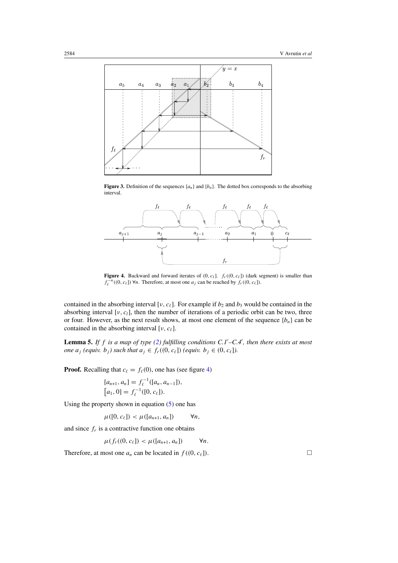<span id="page-10-0"></span>

**Figure 3.** Definition of the sequences  $\{a_n\}$  and  $\{b_n\}$ . The dotted box corresponds to the absorbing interval.



**Figure 4.** Backward and forward iterates of  $(0, c_{\ell}]$ .  $f_r((0, c_{\ell}))$  (dark segment) is smaller than *f*<sub> $\ell$ </sub><sup>−*n*</sup>((0*, c*<sub> $\ell$ </sub>]) ∀*n*. Therefore, at most one *a<sub>j</sub>* can be reached by *f<sub>r</sub>*((0*, c*<sub> $\ell$ </sub>]).

contained in the absorbing interval [ $\nu$ ,  $c_{\ell}$ ]. For example if  $b_2$  and  $b_3$  would be contained in the absorbing interval [*v*, *c*<sub>l</sub>], then the number of iterations of a periodic orbit can be two, three or four. However, as the next result shows, at most one element of the sequence  $\{b_n\}$  can be contained in the absorbing interval [*ν, c*].

**Lemma 5.** *If f is a map of type [\(2\)](#page-7-0) fulfilling conditions C.1 –C.4 , then there exists at most one*  $a_j$  (equiv.  $b_j$ ) such that  $a_j \in f_r((0, c_\ell])$  (equiv.  $b_j \in (0, c_\ell]$ ).

**Proof.** Recalling that  $c_{\ell} = f_{\ell}(0)$ , one has (see figure 4)

$$
[a_{n+1}, a_n] = f_{\ell}^{-1}([a_n, a_{n-1}]),
$$
  

$$
[a_1, 0] = f_{\ell}^{-1}([0, c_{\ell}]).
$$

Using the property shown in equation  $(5)$  one has

$$
\mu([0, c_{\ell}]) < \mu([a_{n+1}, a_n]) \qquad \forall n,
$$

and since  $f_r$  is a contractive function one obtains

$$
\mu(f_r((0,c_\ell]) < \mu([a_{n+1},a_n]) \qquad \forall n.
$$

Therefore, at most one  $a_n$  can be located in  $f((0, c_\ell])$ .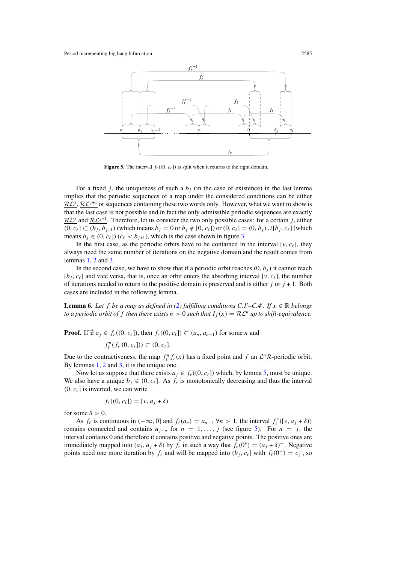<span id="page-11-0"></span>

**Figure 5.** The interval  $f_r((0, c_\ell))$  is split when it returns to the right domain.

For a fixed *j*, the uniqueness of such a  $b_j$  (in the case of existence) in the last lemma implies that the periodic sequences of a map under the considered conditions can be either  $\mathcal{RL}^{j}$ ,  $\mathcal{RL}^{j+1}$  or sequences containing these two words only. However, what we want to show is that the last case is not possible and in fact the only admissible periodic sequences are exactly  $RL<sup>j</sup>$  and  $RL<sup>j+1</sup>$ . Therefore, let us consider the two only possible cases: for a certain *j*, either *(*0*, c<sub>ℓ</sub>*] ⊂  $(b_j, b_{j+1})$  (which means  $b_j = 0$  or  $b_j \notin [0, c_{\ell}]$ ) or  $(0, c_{\ell}] = (0, b_j) \cup [b_j, c_{\ell}]$  (which means  $b_i \in (0, c_\ell]$ ) ( $c_\ell < b_{i+1}$ ), which is the case shown in figure [3.](#page-10-0)

In the first case, as the periodic orbits have to be contained in the interval [ $\nu, c_{\ell}$ ], they always need the same number of iterations on the negative domain and the result comes from lemmas [1,](#page-7-0) [2](#page-8-0) and [3.](#page-8-0)

In the second case, we have to show that if a periodic orbit reaches  $(0, b<sub>i</sub>)$  it cannot reach  $[b_i, c_\ell]$  and vice versa, that is, once an orbit enters the absorbing interval [*v*,  $c_\ell$ ], the number of iterations needed to return to the positive domain is preserved and is either  $j$  or  $j + 1$ . Both cases are included in the following lemma.

**Lemma 6.** Let *f* be a map as defined in [\(2\)](#page-7-0) fulfilling conditions C.1'–C.4'. If  $x \in \mathbb{R}$  belongs *to a periodic orbit of f then there exists*  $n > 0$  *such that*  $I_f(x) = \mathcal{RL}^n$  *up to shift-equivalence.* 

**Proof.** If  $\nexists a_j \in f_r((0, c_\ell])$ , then  $f_r((0, c_\ell]) \subset (a_n, a_{n-1})$  for some *n* and

$$
f_{\ell}^n(f_r(0, c_{\ell}]) \subset (0, c_{\ell}].
$$

Due to the contractiveness, the map  $f_{\ell}^n f_r(x)$  has a fixed point and  $f$  an  $\underline{\mathcal{L}^n \mathcal{R}}$ -periodic orbit. By lemmas [1,](#page-7-0) [2](#page-8-0) and [3,](#page-8-0) it is the unique one.

Now let us suppose that there exists  $a_i \in f_r((0, c_\ell])$  which, by lemma [5,](#page-10-0) must be unique. We also have a unique  $b_i \in (0, c_\ell]$ . As  $f_r$  is monotonically decreasing and thus the interval  $(0, c_{\ell})$  is inverted, we can write

$$
f_r((0, c_\ell]) = [\nu, a_j + \delta)
$$

for some  $\delta > 0$ .

As  $f_{\ell}$  is continuous in  $(-\infty, 0]$  and  $f_{\ell}(a_n) = a_{n-1} \forall n > 1$ , the interval  $f_{\ell}^n([v, a_j + \delta))$ remains connected and contains  $a_{j-n}$  for  $n = 1, \ldots, j$  (see figure 5). For  $n = j$ , the interval contains 0 and therefore it contains positive and negative points. The positive ones are immediately mapped into  $(a_j, a_j + δ)$  by  $f_r$  in such a way that  $f_r(0^+) = (a_j + δ)^-$ . Negative points need one more iteration by  $f_{\ell}$  and will be mapped into  $(b_j, c_{\ell}]$  with  $f_{\ell}(0^-) = c_{\ell}^-$ , so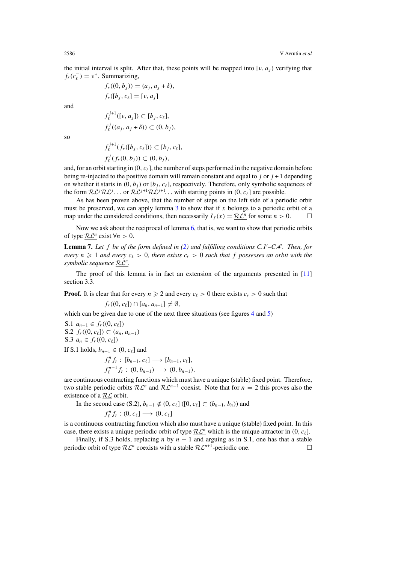<span id="page-12-0"></span>the initial interval is split. After that, these points will be mapped into [ $\nu$ ,  $a<sub>i</sub>$ ) verifying that  $f_r(c_\ell^-) = v^+$ . Summarizing,

and

$$
f_{\ell}^{j+1}([v, a_j]) \subset [b_j, c_{\ell}],
$$
  

$$
f_{\ell}^{j}((a_j, a_j + \delta)) \subset (0, b_j),
$$

 $f_r((0, b_j)) = (a_j, a_j + \delta),$  $f_r([b_i, c_\ell] = [v, a_i]$ 

$$
f_{\ell}^{j+1}(f_r([b_j, c_{\ell}])) \subset [b_j, c_{\ell}],
$$
  

$$
f_{\ell}^{j}(f_r(0, b_j)) \subset (0, b_j),
$$

and, for an orbit starting in  $(0, c_{\ell}]$ , the number of steps performed in the negative domain before being re-injected to the positive domain will remain constant and equal to *j* or *j* + 1 depending on whether it starts in  $(0, b_i)$  or  $[b_i, c_\ell]$ , respectively. Therefore, only symbolic sequences of the form  $\mathcal{RL}^{j}\mathcal{RL}^{j}$ ... or  $\mathcal{RL}^{j+1}\mathcal{RL}^{j+1}$ ... with starting points in  $(0, c_{\ell}]$  are possible.

As has been proven above, that the number of steps on the left side of a periodic orbit must be preserved, we can apply lemma [3](#page-8-0) to show that if *x* belongs to a periodic orbit of a map under the considered conditions, then necessarily  $I_f(x) = \mathcal{R} \mathcal{L}^n$  for some  $n > 0$ .

Now we ask about the reciprocal of lemma [6,](#page-11-0) that is, we want to show that periodic orbits of type  $\mathcal{RL}^n$  exist  $\forall n > 0$ .

**Lemma 7.** *Let f be of the form defined in [\(2\)](#page-7-0) and fulfilling conditions C.1 –C.4 . Then, for every*  $n \geq 1$  *and every*  $c_{\ell} > 0$ *, there exists*  $c_r > 0$  *such that f* possesses an orbit with the *symbolic sequence* RL*n.*

The proof of this lemma is in fact an extension of the arguments presented in [\[11\]](#page-24-0) section 3.3.

**Proof.** It is clear that for every  $n \ge 2$  and every  $c_{\ell} > 0$  there exists  $c_r > 0$  such that

 $f_r((0, c_\ell]) \cap [a_n, a_{n-1}] \neq \emptyset$ ,

which can be given due to one of the next three situations (see figures [4](#page-10-0) and [5\)](#page-11-0)

S.1 
$$
a_{n-1} \in f_r((0, c_\ell])
$$
  
S.2  $f_r((0, c_\ell]) \subset (a_n, a_{n-1})$ 

S.3  $a_n \in f_r((0, c_\ell])$ 

If S.1 holds,  $b_{n-1} \in (0, c_{\ell}]$  and

$$
f_{\ell}^{n} f_{r} : [b_{n-1}, c_{\ell}] \longrightarrow [b_{n-1}, c_{\ell}],
$$
  

$$
f_{\ell}^{n-1} f_{r} : (0, b_{n-1}) \longrightarrow (0, b_{n-1}),
$$

are continuous contracting functions which must have a unique (stable) fixed point. Therefore, two stable periodic orbits  $\mathcal{RL}^n$  and  $\mathcal{RL}^{n-1}$  coexist. Note that for  $n = 2$  this proves also the existence of a RL orbit.

In the second case (S.2),  $b_{n-1} \notin (0, c_{\ell}]$  ([0*, c*<sub>ℓ</sub>] ⊂  $(b_{n-1}, b_n)$ ) and

$$
f^n_\ell f_r:(0,c_\ell]\longrightarrow (0,c_\ell]
$$

is a continuous contracting function which also must have a unique (stable) fixed point. In this case, there exists a unique periodic orbit of type  $\mathcal{RL}^n$  which is the unique attractor in  $(0, c_\ell]$ .

Finally, if S.3 holds, replacing *n* by  $n - 1$  and arguing as in S.1, one has that a stable periodic orbit of type  $\underline{\mathcal{RL}}^n$  coexists with a stable  $\underline{\mathcal{RL}}^{n+1}$ -periodic one.

so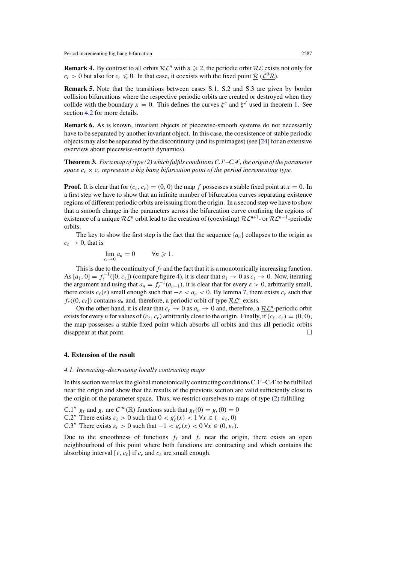<span id="page-13-0"></span>**Remark 4.** By contrast to all orbits  $\mathbb{R}\mathcal{L}^n$  with  $n \ge 2$ , the periodic orbit  $\mathbb{R}\mathcal{L}$  exists not only for  $c_r > 0$  but also for  $c_r \le 0$ . In that case, it coexists with the fixed point  $\underline{\mathcal{R}}$  ( $\underline{\mathcal{L}}^0 \underline{\mathcal{R}}$ ).

**Remark 5.** Note that the transitions between cases S.1, S.2 and S.3 are given by border collision bifurcations where the respective periodic orbits are created or destroyed when they collide with the boundary  $x = 0$ . This defines the curves  $\xi^c$  and  $\xi^d$  used in theorem [1.](#page-6-0) See section [4.2](#page-14-0) for more details.

**Remark 6.** As is known, invariant objects of piecewise-smooth systems do not necessarily have to be separated by another invariant object. In this case, the coexistence of stable periodic objects may also be separated by the discontinuity (and its preimages) (see [\[24\]](#page-24-0) for an extensive overview about piecewise-smooth dynamics).

**Theorem 3.** *For a map of type [\(2\)](#page-7-0) which fulfils conditions C.1 –C.4 , the origin of the parameter space*  $c_{\ell} \times c_r$  *represents a big bang bifurcation point of the period incrementing type.* 

**Proof.** It is clear that for  $(c_{\ell}, c_r) = (0, 0)$  the map *f* possesses a stable fixed point at  $x = 0$ . In a first step we have to show that an infinite number of bifurcation curves separating existence regions of different periodic orbits are issuing from the origin. In a second step we have to show that a smooth change in the parameters across the bifurcation curve confining the regions of existence of a unique  $R\mathcal{L}^n$  orbit lead to the creation of (coexisting)  $R\mathcal{L}^{n+1}$ - or  $R\mathcal{L}^{n-1}$ -periodic orbits.

The key to show the first step is the fact that the sequence  $\{a_n\}$  collapses to the origin as  $c_{\ell} \rightarrow 0$ , that is

$$
\lim_{c_\ell \to 0} a_n = 0 \qquad \forall n \geqslant 1.
$$

This is due to the continuity of  $f_{\ell}$  and the fact that it is a monotonically increasing function. As  $[a_1, 0] = f_\ell^{-1}([0, c_\ell])$  (compare figure [4\)](#page-10-0), it is clear that  $a_1 \to 0$  as  $c_\ell \to 0$ . Now, iterating the argument and using that  $a_n = f_{\ell}^{-1}(a_{n-1})$ , it is clear that for every  $\varepsilon > 0$ , arbitrarily small, there exists  $c_{\ell}(\varepsilon)$  small enough such that  $-\varepsilon < a_n < 0$ . By lemma [7,](#page-12-0) there exists  $c_r$  such that  $f_r$ ((0,  $c_\ell$ )) contains  $a_n$  and, therefore, a periodic orbit of type  $\mathcal{RL}^n$  exists.

On the other hand, it is clear that  $c_r \to 0$  as  $a_n \to 0$  and, therefore, a  $\mathcal{RL}^n$ -periodic orbit exists for every *n* for values of  $(c_{\ell}, c_r)$  arbitrarily close to the origin. Finally, if  $(c_{\ell}, c_r) = (0, 0)$ , the map possesses a stable fixed point which absorbs all orbits and thus all periodic orbits disappear at that point.

#### **4. Extension of the result**

#### *4.1. Increasing–decreasing locally contracting maps*

In this section we relax the global monotonically contracting conditions C.1'-C.4' to be fulfilled near the origin and show that the results of the previous section are valid sufficiently close to the origin of the parameter space. Thus, we restrict ourselves to maps of type [\(2\)](#page-7-0) fulfilling

C.1"  $g_\ell$  and  $g_r$  are  $C^\infty(\mathbb{R})$  functions such that  $g_\ell(0) = g_r(0) = 0$ C.2" There exists  $\varepsilon_{\ell} > 0$  such that  $0 < g'_{\ell}(x) < 1 \,\forall x \in (-\varepsilon_{\ell}, 0)$ C.3" There exists  $\varepsilon_r > 0$  such that  $-1 < g'_r(x) < 0 \,\forall x \in (0, \varepsilon_r)$ .

Due to the smoothness of functions  $f_{\ell}$  and  $f_{r}$  near the origin, there exists an open neighbourhood of this point where both functions are contracting and which contains the absorbing interval [ $\nu$ ,  $c_{\ell}$ ] if  $c_r$  and  $c_{\ell}$  are small enough.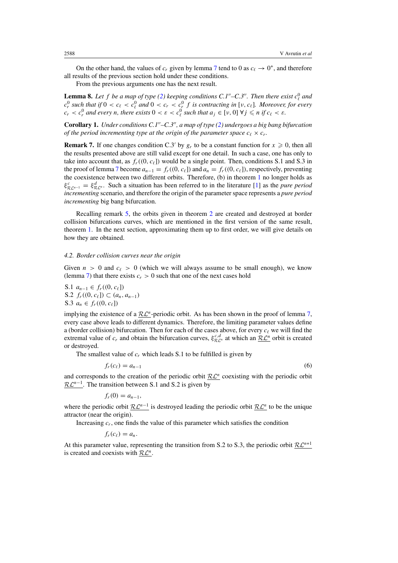<span id="page-14-0"></span>On the other hand, the values of  $c_r$  given by lemma [7](#page-12-0) tend to 0 as  $c_\ell \to 0^+$ , and therefore all results of the previous section hold under these conditions.

From the previous arguments one has the next result.

**Lemma 8.** Let *f* be a map of type [\(2\)](#page-7-0) keeping conditions C.1"–C.3". Then there exist  $c_{\ell}^0$  and  $c_r^0$  such that if  $0 < c_\ell < c_\ell^0$  and  $0 < c_r < c_r^0$  f is contracting in [v,  $c_\ell$ ]. Moreover, for every  $c_r < c_r^0$  and every *n*, there exists  $0 < \varepsilon < c_\ell^0$  such that  $a_j \in [v, 0] \forall j \leq n$  if  $c_\ell < \varepsilon$ .

**Corollary 1.** *Under conditions C.1–C.3, a map of type [\(2\)](#page-7-0) undergoes a big bang bifurcation of the period incrementing type at the origin of the parameter space*  $c_{\ell} \times c_r$ .

**Remark 7.** If one changes condition C.3' by  $g_r$  to be a constant function for  $x \ge 0$ , then all the results presented above are still valid except for one detail. In such a case, one has only to take into account that, as  $f_r((0, c_\ell))$  would be a single point. Then, conditions S.1 and S.3 in the proof of lemma [7](#page-12-0) become  $a_{n-1} = f_r((0, c_\ell))$  and  $a_n = f_r((0, c_\ell))$ , respectively, preventing the coexistence between two different orbits. Therefore, (b) in theorem [1](#page-6-0) no longer holds as  $\xi_{R\mathcal{L}^{n-1}}^c = \xi_{R\mathcal{L}^n}^d$ . Such a situation has been referred to in the literature [\[1\]](#page-24-0) as the *pure period incrementing* scenario, and therefore the origin of the parameter space represents a *pure period incrementing* big bang bifurcation.

Recalling remark [5,](#page-13-0) the orbits given in theorem [2](#page-7-0) are created and destroyed at border collision bifurcations curves, which are mentioned in the first version of the same result, theorem [1.](#page-6-0) In the next section, approximating them up to first order, we will give details on how they are obtained.

## *4.2. Border collision curves near the origin*

Given  $n > 0$  and  $c_{\ell} > 0$  (which we will always assume to be small enough), we know (lemma [7\)](#page-12-0) that there exists  $c_r > 0$  such that one of the next cases hold

S.1  $a_{n-1}$  ∈  $f_r((0, c_\ell])$ S.2 *f<sub>r</sub>*((0*, c*<sub>ℓ</sub>]) ⊂ ( $a_n$ *, a<sub>n−1</sub>*) S.3  $a_n$  ∈  $f_r$ ((0,  $c_{\ell}$ ))

implying the existence of a  $\mathcal{RL}^n$ -periodic orbit. As has been shown in the proof of lemma [7,](#page-12-0) every case above leads to different dynamics. Therefore, the limiting parameter values define a (border collision) bifurcation. Then for each of the cases above, for every  $c_{\ell}$  we will find the extremal value of  $c_r$  and obtain the bifurcation curves,  $\xi_{\mathcal{RL}^n}^{c,d}$  at which an  $\underline{\mathcal{RL}^n}$  orbit is created or destroyed.

The smallest value of  $c_r$  which leads S.1 to be fulfilled is given by

$$
f_r(c_\ell) = a_{n-1} \tag{6}
$$

and corresponds to the creation of the periodic orbit  $\mathcal{RL}^n$  coexisting with the periodic orbit RL<sup>n−1</sup>. The transition between S.1 and S.2 is given by

 $f_r(0) = a_{n-1}$ 

where the periodic orbit  $\mathcal{RL}^{n-1}$  is destroyed leading the periodic orbit  $\mathcal{RL}^n$  to be the unique attractor (near the origin).

Increasing  $c_r$ , one finds the value of this parameter which satisfies the condition

 $f_r(c_\ell) = a_n$ .

At this parameter value, representing the transition from S.2 to S.3, the periodic orbit  $\mathcal{RL}^{n+1}$ is created and coexists with  $\mathcal{RL}^n$ .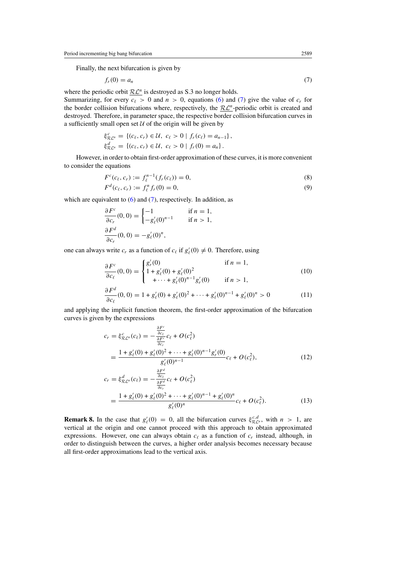<span id="page-15-0"></span>Finally, the next bifurcation is given by

$$
f_r(0) = a_n \tag{7}
$$

where the periodic orbit  $\mathcal{RL}^n$  is destroyed as S.3 no longer holds.

Summarizing, for every  $c_{\ell} > 0$  and  $n > 0$ , equations [\(6\)](#page-14-0) and (7) give the value of  $c_r$  for the border collision bifurcations where, respectively, the  $\mathcal{RL}^n$ -periodic orbit is created and destroyed. Therefore, in parameter space, the respective border collision bifurcation curves in a sufficiently small open set  $U$  of the origin will be given by

$$
\xi_{\mathcal{R}\mathcal{L}^n}^c = \{ (c_\ell, c_r) \in \mathcal{U}, \ c_\ell > 0 \mid f_r(c_\ell) = a_{n-1} \}, \n\xi_{\mathcal{R}\mathcal{L}^n}^d = \{ (c_\ell, c_r) \in \mathcal{U}, \ c_\ell > 0 \mid f_r(0) = a_n \}.
$$

However, in order to obtain first-order approximation of these curves, it is more convenient to consider the equations

$$
F^{c}(c_{\ell}, c_{r}) := f_{\ell}^{n-1}(f_{r}(c_{\ell})) = 0,
$$
\n(8)

$$
F^{d}(c_{\ell}, c_{r}) := f_{\ell}^{n} f_{r}(0) = 0, \qquad (9)
$$

which are equivalent to  $(6)$  and  $(7)$ , respectively. In addition, as

$$
\frac{\partial F^c}{\partial c_r}(0,0) = \begin{cases}\n-1 & \text{if } n = 1, \\
-g'_{\ell}(0)^{n-1} & \text{if } n > 1,\n\end{cases}
$$
\n
$$
\frac{\partial F^d}{\partial c_r}(0,0) = -g'_{\ell}(0)^n,
$$

one can always write  $c_r$  as a function of  $c_\ell$  if  $g'_\ell(0) \neq 0$ . Therefore, using

$$
\frac{\partial F^c}{\partial c_\ell}(0,0) = \begin{cases} g'_r(0) & \text{if } n = 1, \\ 1 + g'_\ell(0) + g'_\ell(0)^2 \\ + \dots + g'_\ell(0)^{n-1} g'_r(0) & \text{if } n > 1, \end{cases}
$$
(10)

$$
\frac{\partial F^d}{\partial c_\ell}(0,0) = 1 + g_\ell'(0) + g_\ell'(0)^2 + \dots + g_\ell'(0)^{n-1} + g_\ell'(0)^n > 0 \tag{11}
$$

and applying the implicit function theorem, the first-order approximation of the bifurcation curves is given by the expressions

$$
c_r = \xi_{\mathcal{R}L^n}^c(c_\ell) = -\frac{\frac{\partial F^c}{\partial c_\ell}}{\frac{\partial F^c}{\partial c_r}}c_\ell + O(c_\ell^2)
$$
  
\n
$$
= \frac{1 + g_\ell'(0) + g_\ell'(0)^2 + \dots + g_\ell'(0)^{n-1}g_r'(0)}{g_\ell'(0)^{n-1}}c_\ell + O(c_\ell^2),
$$
  
\n
$$
c_r = \xi_{\mathcal{R}L^n}^d(c_\ell) = -\frac{\frac{\partial F^d}{\partial c_\ell}}{\frac{\partial F^d}{\partial c_r}}c_\ell + O(c_\ell^2)
$$
  
\n
$$
= \frac{1 + g_\ell'(0) + g_\ell'(0)^2 + \dots + g_\ell'(0)^{n-1} + g_\ell'(0)^n}{g_\ell'(0)^n}c_\ell + O(c_\ell^2).
$$
 (13)

**Remark 8.** In the case that  $g'_{\ell}(0) = 0$ , all the bifurcation curves  $\xi_{\mathcal{RL}^n}^{c,d}$ , with  $n > 1$ , are vertical at the origin and one cannot proceed with this approach to obtain approximated expressions. However, one can always obtain  $c_{\ell}$  as a function of  $c_r$  instead, although, in order to distinguish between the curves, a higher order analysis becomes necessary because all first-order approximations lead to the vertical axis.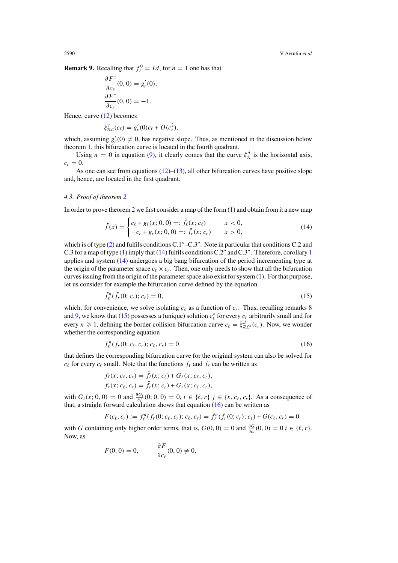<span id="page-16-0"></span>**Remark 9.** Recalling that  $f_{\ell}^0 = Id$ , for  $n = 1$  one has that

$$
\frac{\partial F^c}{\partial c_\ell}(0,0) = g'_r(0),
$$
  

$$
\frac{\partial F^c}{\partial c_r}(0,0) = -1.
$$

Hence, curve [\(12\)](#page-15-0) becomes

$$
\xi^c_{\mathcal{RL}}(c_\ell) = g'_r(0)c_\ell + O(c_\ell^2),
$$

which, assuming  $g'_r(0) \neq 0$ , has negative slope. Thus, as mentioned in the discussion below theorem [1,](#page-6-0) this bifurcation curve is located in the fourth quadrant.

Using  $n = 0$  in equation [\(9\)](#page-15-0), it clearly comes that the curve  $\xi_{\mathcal{R}}^d$  is the horizontal axis,  $c_r = 0$ .

As one can see from equations  $(12)$ – $(13)$ , all other bifurcation curves have positive slope and, hence, are located in the first quadrant.

#### *4.3. Proof of theorem [2](#page-7-0)*

In order to prove theorem [2](#page-7-0) we first consider a map of the form  $(1)$  and obtain from it a new map

$$
\tilde{f}(x) = \begin{cases}\nc_{\ell} + g_{\ell}(x; 0, 0) =: \tilde{f}_{\ell}(x; c_{\ell}) & x < 0, \\
-c_r + g_r(x; 0, 0) =: \tilde{f}_r(x; c_r) & x > 0,\n\end{cases}
$$
\n(14)

which is of type  $(2)$  and fulfils conditions C.1"–C.3". Note in particular that conditions C.2 and C.3 for a map of type  $(1)$  imply that  $(14)$  $(14)$  $(14)$  fulfils conditions C.2" and C.3". Therefore, corollary 1 applies and system (14) undergoes a big bang bifurcation of the period incrementing type at the origin of the parameter space  $c_{\ell} \times c_r$ . Then, one only needs to show that all the bifurcation curves issuing from the origin of the parameter space also exist for system [\(1\)](#page-5-0). For that purpose, let us consider for example the bifurcation curve defined by the equation

$$
\tilde{f}_{\ell}^{n}(\tilde{f}_{r}(0; c_{r}); c_{\ell}) = 0, \tag{15}
$$

which, for convenience, we solve isolating  $c_{\ell}$  as a function of  $c_r$ . Thus, recalling remarks [8](#page-15-0) and [9,](#page-15-0) we know that (15) possesses a (unique) solution  $c_{\ell}^{*}$  for every  $c_{r}$  arbitrarily small and for every *n*  $\geq$  1, defining the border collision bifurcation curve  $c_{\ell} = \tilde{\xi}_{R\mathcal{L}^n}^d(c_r)$ . Now, we wonder whether the corresponding equation

$$
f_{\ell}^{n}(f_{r}(0; c_{\ell}, c_{r}); c_{\ell}, c_{r}) = 0
$$
\n(16)

that defines the corresponding bifurcation curve for the original system can also be solved for  $c_{\ell}$  for every  $c_r$  small. Note that the functions  $f_{\ell}$  and  $f_r$  can be written as

$$
f_{\ell}(x; c_{\ell}, c_r) = \tilde{f}_{\ell}(x; c_{\ell}) + G_{\ell}(x; c_{\ell}, c_r),
$$
  

$$
f_r(x; c_{\ell}, c_r) = \tilde{f}_r(x; c_r) + G_r(x; c_{\ell}, c_r),
$$

with  $G_i(x; 0, 0) = 0$  and  $\frac{\partial G_i}{\partial j}(0; 0, 0) = 0$ ,  $i \in \{\ell, r\}$  *j* ∈ {*x, c<sub>ℓ</sub>, c<sub>r</sub>}*. As a consequence of that, a straight forward calculation shows that equation  $(16)$  can be written as

$$
F(c_{\ell}, c_r) := f_{\ell}^n(f_r(0; c_{\ell}, c_r); c_{\ell}, c_r) = \tilde{f}_{\ell}^n(\tilde{f}_r(0; c_r); c_{\ell}) + G(c_{\ell}, c_r) = 0
$$

with *G* containing only higher order terms, that is,  $G(0, 0) = 0$  and  $\frac{\partial G}{\partial c_i}(0, 0) = 0$   $i \in \{\ell, r\}.$ Now, as

$$
F(0, 0) = 0, \qquad \frac{\partial F}{\partial c_{\ell}}(0, 0) \neq 0,
$$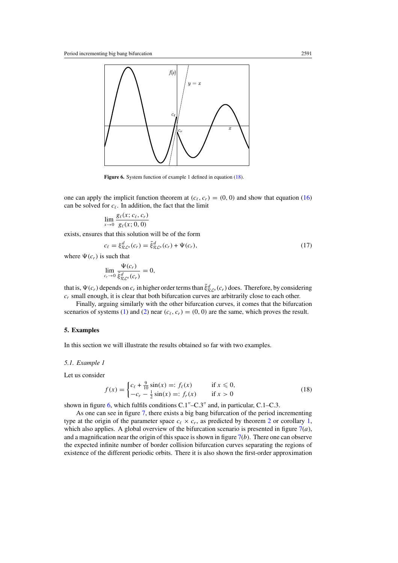<span id="page-17-0"></span>

**Figure 6.** System function of example 1 defined in equation (18).

one can apply the implicit function theorem at  $(c_{\ell}, c_r) = (0, 0)$  and show that equation [\(16\)](#page-16-0) can be solved for  $c_{\ell}$ . In addition, the fact that the limit

$$
\lim_{x\to 0}\frac{g_{\ell}(x;c_{\ell},c_r)}{g_{\ell}(x;0,0)}
$$

exists, ensures that this solution will be of the form

$$
c_{\ell} = \xi_{\mathcal{R}\mathcal{L}^n}^d(c_r) = \tilde{\xi}_{\mathcal{R}\mathcal{L}^n}^d(c_r) + \Psi(c_r),\tag{17}
$$

where  $\Psi(c_r)$  is such that

$$
\lim_{c_r \to 0} \frac{\Psi(c_r)}{\tilde{\xi}_{\mathcal{RL}^n}^d(c_r)} = 0,
$$

that is,  $\Psi(c_r)$  depends on  $c_r$  in higher order terms than  $\tilde{\xi}^d_{\mathcal{RL}^n}(c_r)$  does. Therefore, by considering  $c_r$  small enough, it is clear that both bifurcation curves are arbitrarily close to each other.

Finally, arguing similarly with the other bifurcation curves, it comes that the bifurcation scenarios of systems [\(1\)](#page-5-0) and [\(2\)](#page-7-0) near  $(c_{\ell}, c_{r}) = (0, 0)$  are the same, which proves the result.

## **5. Examples**

In this section we will illustrate the results obtained so far with two examples.

#### *5.1. Example 1*

Let us consider

$$
f(x) = \begin{cases} c_{\ell} + \frac{9}{10} \sin(x) =: f_{\ell}(x) & \text{if } x \le 0, \\ -c_{r} - \frac{1}{2} \sin(x) =: f_{r}(x) & \text{if } x > 0 \end{cases}
$$
(18)

shown in figure 6, which fulfils conditions  $C.1^{\prime\prime}$ – $C.3^{\prime\prime}$  and, in particular,  $C.1$ – $C.3$ .

As one can see in figure [7,](#page-18-0) there exists a big bang bifurcation of the period incrementing type at the origin of the parameter space  $c_{\ell} \times c_r$ , as predicted by theorem [2](#page-7-0) or corollary [1,](#page-14-0) which also applies. A global overview of the bifurcation scenario is presented in figure [7\(](#page-18-0)*a*), and a magnification near the origin of this space is shown in figure  $7(b)$  $7(b)$ . There one can observe the expected infinite number of border collision bifurcation curves separating the regions of existence of the different periodic orbits. There it is also shown the first-order approximation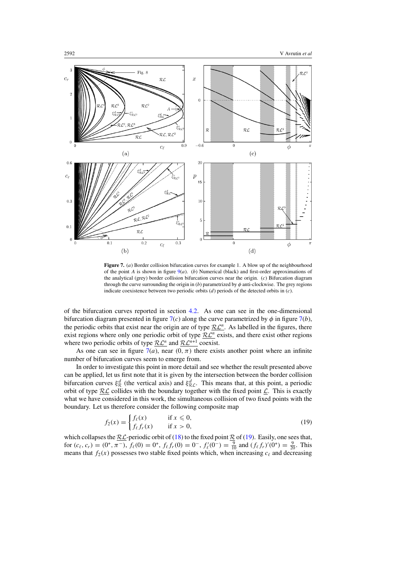<span id="page-18-0"></span>

**Figure 7.** (*a*) Border collision bifurcation curves for example 1. A blow up of the neighbourhood of the point *A* is shown in figure  $9(a)$  $9(a)$ . (*b*) Numerical (black) and first-order approximations of the analytical (grey) border collision bifurcation curves near the origin. (*c*) Bifurcation diagram through the curve surrounding the origin in  $(b)$  parametrized by  $\phi$  anti-clockwise. The grey regions indicate coexistence between two periodic orbits (*d*) periods of the detected orbits in (*c*).

of the bifurcation curves reported in section [4.2.](#page-14-0) As one can see in the one-dimensional bifurcation diagram presented in figure  $7(c)$  along the curve parametrized by  $\phi$  in figure  $7(b)$ , the periodic orbits that exist near the origin are of type  $\mathcal{RL}^n$ . As labelled in the figures, there exist regions where only one periodic orbit of type  $R\mathcal{L}^n$  exists, and there exist other regions where two periodic orbits of type  $\mathcal{RL}^n$  and  $\mathcal{RL}^{n+1}$  coexist.

As one can see in figure  $7(a)$ , near  $(0, \pi)$  there exists another point where an infinite number of bifurcation curves seem to emerge from.

In order to investigate this point in more detail and see whether the result presented above can be applied, let us first note that it is given by the intersection between the border collision bifurcation curves  $\xi_{\mathcal{R}}^d$  (the vertical axis) and  $\xi_{\mathcal{R}}^d$ . This means that, at this point, a periodic orbit of type  $R\mathcal{L}$  collides with the boundary together with the fixed point  $\mathcal{L}$ . This is exactly what we have considered in this work, the simultaneous collision of two fixed points with the boundary. Let us therefore consider the following composite map

$$
f_2(x) = \begin{cases} f_\ell(x) & \text{if } x \le 0, \\ f_\ell f_r(x) & \text{if } x > 0, \end{cases} \tag{19}
$$

which collapses the  $R_{\text{L}}$ -periodic orbit of [\(18\)](#page-17-0) to the fixed point  $R_{\text{L}}$  of (19). Easily, one sees that, for  $(c_{\ell}, c_r) = (0^+, \pi^-)$ ,  $f_{\ell}(0) = 0^+, f_{\ell} f_r(0) = 0^-, f'_{\ell}(0^-) = \frac{9}{10}$  and  $(f_{\ell} f_r)'(0^+) = \frac{9}{20}$ . This means that  $f_2(x)$  possesses two stable fixed points which, when increasing  $c_\ell$  and decreasing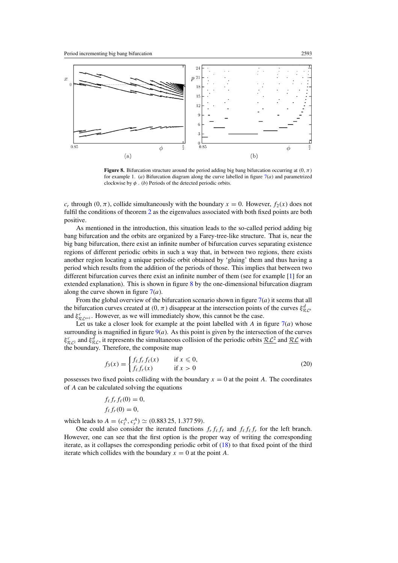<span id="page-19-0"></span>

**Figure 8.** Bifurcation structure around the period adding big bang bifurcation occurring at *(*0*,π)* for example 1. (*a*) Bifurcation diagram along the curve labelled in figure  $7(a)$  $7(a)$  and parametrized clockwise by  $\phi$ . (*b*) Periods of the detected periodic orbits.

*c<sub>r</sub>* through  $(0, \pi)$ , collide simultaneously with the boundary  $x = 0$ . However,  $f_2(x)$  does not fulfil the conditions of theorem [2](#page-7-0) as the eigenvalues associated with both fixed points are both positive.

As mentioned in the introduction, this situation leads to the so-called period adding big bang bifurcation and the orbits are organized by a Farey-tree-like structure. That is, near the big bang bifurcation, there exist an infinite number of bifurcation curves separating existence regions of different periodic orbits in such a way that, in between two regions, there exists another region locating a unique periodic orbit obtained by 'gluing' them and thus having a period which results from the addition of the periods of those. This implies that between two different bifurcation curves there exist an infinite number of them (see for example [\[1\]](#page-24-0) for an extended explanation). This is shown in figure 8 by the one-dimensional bifurcation diagram along the curve shown in figure [7\(](#page-18-0)*a*).

From the global overview of the bifurcation scenario shown in figure  $7(a)$  $7(a)$  it seems that all the bifurcation curves created at  $(0, \pi)$  disappear at the intersection points of the curves  $\xi_{\mathcal{R}L^n}^d$ and  $\xi_{\mathcal{R} \mathcal{L}^{n+1}}^c$ . However, as we will immediately show, this cannot be the case.

Let us take a closer look for example at the point labelled with *A* in figure  $7(a)$  $7(a)$  whose surrounding is magnified in figure  $9(a)$  $9(a)$ . As this point is given by the intersection of the curves  $\xi_{R,C}^c$  and  $\xi_{R,C}^d$ , it represents the simultaneous collision of the periodic orbits  $\underline{R}\underline{\mathcal{L}}^2$  and  $\underline{R}\underline{\mathcal{L}}$  with the boundary. Therefore, the composite map

$$
f_3(x) = \begin{cases} f_\ell f_r f_\ell(x) & \text{if } x \leq 0, \\ f_\ell f_r(x) & \text{if } x > 0 \end{cases}
$$
 (20)

possesses two fixed points colliding with the boundary  $x = 0$  at the point *A*. The coordinates of *A* can be calculated solving the equations

$$
f_{\ell} f_r f_{\ell}(0) = 0,
$$
  

$$
f_{\ell} f_r(0) = 0,
$$

which leads to  $A = (c_{\ell}^A, c_r^A) \simeq (0.883\,25, 1.377\,59)$ .

One could also consider the iterated functions  $f_r f_\ell f_\ell$  and  $f_\ell f_\ell f_r$  for the left branch. However, one can see that the first option is the proper way of writing the corresponding iterate, as it collapses the corresponding periodic orbit of [\(18\)](#page-17-0) to that fixed point of the third iterate which collides with the boundary  $x = 0$  at the point *A*.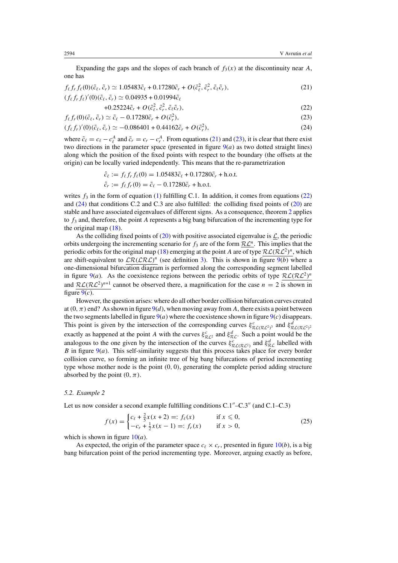<span id="page-20-0"></span>Expanding the gaps and the slopes of each branch of  $f_3(x)$  at the discontinuity near *A*, one has

$$
f_{\ell} f_r f_{\ell}(0)(\tilde{c}_{\ell}, \tilde{c}_r) \simeq 1.05483 \tilde{c}_{\ell} + 0.17280 \tilde{c}_r + O(\tilde{c}_{\ell}^2, \tilde{c}_r^2, \tilde{c}_{\ell} \tilde{c}_r),
$$
  
( $f_{\ell} f_r f_{\ell}$ )'(0)( $\tilde{c}_{\ell}, \tilde{c}_r$ ) \simeq 0.04935 + 0.01994  $\tilde{c}_{\ell}$ 

$$
+0.25224\tilde{c}_r + O(\tilde{c}_{\ell}^2, \tilde{c}_r^2, \tilde{c}_{\ell}\tilde{c}_r),
$$
\n(22)

$$
f_{\ell} f_r(0) (\tilde{c}_{\ell}, \tilde{c}_r) \simeq \tilde{c}_{\ell} - 0.17280 \tilde{c}_r + O(\tilde{c}_r^2), \qquad (23)
$$

$$
(f_{\ell} f_r)'(0)(\tilde{c}_{\ell}, \tilde{c}_r) \simeq -0.086401 + 0.44162\tilde{c}_r + O(\tilde{c}_r^2), \qquad (24)
$$

where  $\tilde{c}_{\ell} = c_{\ell} - c_{\ell}^A$  and  $\tilde{c}_r = c_r - c_r^A$ . From equations (21) and (23), it is clear that there exist two directions in the parameter space (presented in figure  $9(a)$  $9(a)$  as two dotted straight lines) along which the position of the fixed points with respect to the boundary (the offsets at the origin) can be locally varied independently. This means that the re-parametrization

$$
\hat{c}_{\ell} := f_{\ell} f_r f_{\ell}(0) = 1.05483 \tilde{c}_{\ell} + 0.17280 \tilde{c}_r + \text{h.o.t.}
$$
  

$$
\hat{c}_r := f_{\ell} f_r(0) = \tilde{c}_{\ell} - 0.17280 \tilde{c}_r + \text{h.o.t.}
$$

writes  $f_3$  in the form of equation [\(1\)](#page-5-0) fulfilling C.1. In addition, it comes from equations (22) and  $(24)$  that conditions C.2 and C.3 are also fulfilled: the colliding fixed points of  $(20)$  are stable and have associated eigenvalues of different signs. As a consequence, theorem [2](#page-7-0) applies to *f*<sup>3</sup> and, therefore, the point *A* represents a big bang bifurcation of the incrementing type for the original map [\(18\)](#page-17-0).

As the colliding fixed points of  $(20)$  with positive associated eigenvalue is  $\mathcal{L}$ , the periodic orbits undergoing the incrementing scenario for  $f_3$  are of the form  $\mathcal{RL}^n$ . This implies that the periodic orbits for the original map [\(18\)](#page-17-0) emerging at the point *A* are of type  $\mathcal{RL}(\mathcal{RL}^2)^n$ , which are shift-equivalent to  $\mathcal{LR}(\mathcal{LRL})^n$  (see definition [3\)](#page-5-0). This is shown in figure [9\(](#page-21-0)*b*) where a one-dimensional bifurcation diagram is performed along the corresponding segment labelled in figure [9\(](#page-21-0)*a*). As the coexistence regions between the periodic orbits of type  $\mathcal{RL}(\mathcal{RL}^2)^n$ and  $RL(RL^2)^{n+1}$  cannot be observed there, a magnification for the case  $n = 2$  is shown in figure  $9(c)$  $9(c)$ .

However, the question arises: where do all other border collision bifurcation curves created at  $(0, \pi)$  end? As shown in figure  $9(d)$  $9(d)$ , when moving away from *A*, there exists a point between the two segments labelled in figure  $9(a)$  $9(a)$  where the coexistence shown in figure  $9(c)$  disappears. This point is given by the intersection of the corresponding curves  $\xi_{\mathcal{RL}(\mathcal{RL}^2)}^c$  and  $\xi_{\mathcal{RL}(\mathcal{RL}^2)}^d$ exactly as happened at the point *A* with the curves  $\xi_{\mathcal{RL}}^c$  and  $\xi_{\mathcal{RL}}^d$ . Such a point would be the analogous to the one given by the intersection of the curves  $\xi_{\mathcal{RL}(\mathcal{RL}^2)}^c$  and  $\xi_{\mathcal{RL}}^d$  labelled with *B* in figure  $9(a)$  $9(a)$ . This self-similarity suggests that this process takes place for every border collision curve, so forming an infinite tree of big bang bifurcations of period incrementing type whose mother node is the point *(*0*,* 0*)*, generating the complete period adding structure absorbed by the point  $(0, \pi)$ .

#### *5.2. Example 2*

Let us now consider a second example fulfilling conditions  $C.1^{\prime\prime}$ – $C.3^{\prime\prime}$  (and  $C.1$ – $C.3$ )

$$
f(x) = \begin{cases} c_{\ell} + \frac{2}{5}x(x+2) =: f_{\ell}(x) & \text{if } x \le 0, \\ -c_r + \frac{1}{2}x(x-1) =: f_r(x) & \text{if } x > 0, \end{cases}
$$
(25)

which is shown in figure [10\(](#page-22-0)*a*).

As expected, the origin of the parameter space  $c_{\ell} \times c_r$ , presented in figure [10\(](#page-22-0)*b*), is a big bang bifurcation point of the period incrementing type. Moreover, arguing exactly as before,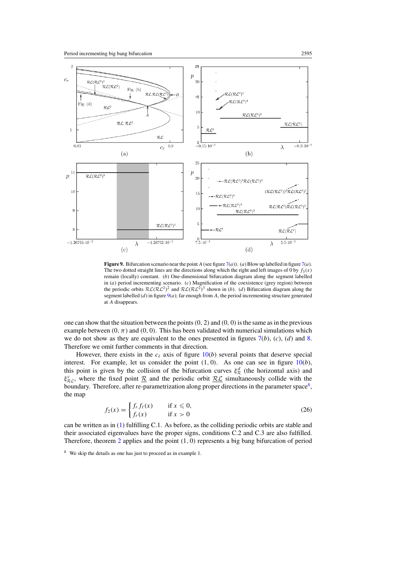<span id="page-21-0"></span>

**Figure 9.** Bifurcation scenario near the point *A* (see figure [7\(](#page-18-0)*a*)). (*a*) Blow up labelled in figure [7\(](#page-18-0)*a*). The two dotted straight lines are the directions along which the right and left images of 0 by  $f_3(x)$ remain (locally) constant. (*b*) One-dimensional bifurcation diagram along the segment labelled in (*a*) period incrementing scenario. (*c*) Magnification of the coexistence (grey region) between the periodic orbits  $RL(RL^2)^2$  and  $RL(RL^2)^3$  shown in (*b*). (*d*) Bifurcation diagram along the segment labelled (*d*) in figure 9(*a*); far enough from *A*, the period incrementing structure generated at *A* disappears.

one can show that the situation between the points*(*0*,* 2*)* and *(*0*,* 0*)*is the same as in the previous example between  $(0, \pi)$  and  $(0, 0)$ . This has been validated with numerical simulations which we do not show as they are equivalent to the ones presented in figures [7\(](#page-18-0)*b*), (*c*), (*d*) and [8.](#page-19-0) Therefore we omit further comments in that direction.

However, there exists in the  $c_{\ell}$  axis of figure  $10(b)$  $10(b)$  several points that deserve special interest. For example, let us consider the point  $(1, 0)$ . As one can see in figure  $10(b)$  $10(b)$ , this point is given by the collision of the bifurcation curves  $\xi^d$  (the horizontal axis) and  $\xi_{R,C}^c$ , where the fixed point <u>R</u> and the periodic orbit <u>RC</u> simultaneously collide with the boundary. Therefore, after re-parametrization along proper directions in the parameter space<sup>8</sup>, the map

$$
f_2(x) = \begin{cases} f_r f_\ell(x) & \text{if } x \le 0, \\ f_r(x) & \text{if } x > 0 \end{cases}
$$
 (26)

can be written as in [\(1\)](#page-5-0) fulfilling C.1. As before, as the colliding periodic orbits are stable and their associated eigenvalues have the proper signs, conditions C.2 and C.3 are also fulfilled. Therefore, theorem [2](#page-7-0) applies and the point *(*1*,* 0*)* represents a big bang bifurcation of period

<sup>8</sup> We skip the details as one has just to proceed as in example 1.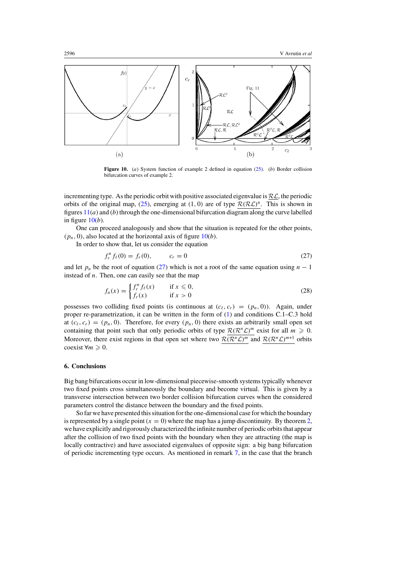<span id="page-22-0"></span>

**Figure 10.** (*a*) System function of example 2 defined in equation [\(25\)](#page-20-0). (*b*) Border collision bifurcation curves of example 2.

incrementing type. As the periodic orbit with positive associated eigenvalue is  $\mathcal{RL}$ , the periodic orbits of the original map, [\(25\)](#page-20-0), emerging at (1, 0) are of type  $\mathcal{R}(\mathcal{RL})^n$ . This is shown in figures  $11(a)$  $11(a)$  and (*b*) through the one-dimensional bifurcation diagram along the curve labelled in figure 10(*b*).

One can proceed analogously and show that the situation is repeated for the other points,  $(p_n, 0)$ , also located at the horizontal axis of figure  $10(b)$ .

In order to show that, let us consider the equation

$$
f_r^n f_\ell(0) = f_r(0), \qquad c_r = 0 \tag{27}
$$

and let  $p_n$  be the root of equation (27) which is not a root of the same equation using  $n-1$ instead of *n*. Then, one can easily see that the map

$$
f_n(x) = \begin{cases} f_r^n f_\ell(x) & \text{if } x \le 0, \\ f_r(x) & \text{if } x > 0 \end{cases} \tag{28}
$$

possesses two colliding fixed points (is continuous at  $(c_{\ell}, c_r) = (p_n, 0)$ ). Again, under proper re-parametrization, it can be written in the form of [\(1\)](#page-5-0) and conditions C.1–C.3 hold at  $(c_{\ell}, c_{r}) = (p_n, 0)$ . Therefore, for every  $(p_n, 0)$  there exists an arbitrarily small open set containing that point such that only periodic orbits of type  $\mathcal{R}(\mathcal{R}^n\mathcal{L})^m$  exist for all  $m \geq 0$ . Moreover, there exist regions in that open set where two  $\mathcal{R}(\mathcal{R}^n\mathcal{L})^m$  and  $\mathcal{R}(\mathcal{R}^n\mathcal{L})^{m+1}$  orbits coexist  $\forall m \geq 0$ .

# **6. Conclusions**

Big bang bifurcations occur in low-dimensional piecewise-smooth systems typically whenever two fixed points cross simultaneously the boundary and become virtual. This is given by a transverse intersection between two border collision bifurcation curves when the considered parameters control the distance between the boundary and the fixed points.

So far we have presented this situation for the one-dimensional case for which the boundary is represented by a single point  $(x = 0)$  where the map has a jump discontinuity. By theorem [2,](#page-7-0) we have explicitly and rigorously characterized the infinite number of periodic orbits that appear after the collision of two fixed points with the boundary when they are attracting (the map is locally contractive) and have associated eigenvalues of opposite sign: a big bang bifurcation of periodic incrementing type occurs. As mentioned in remark [7,](#page-14-0) in the case that the branch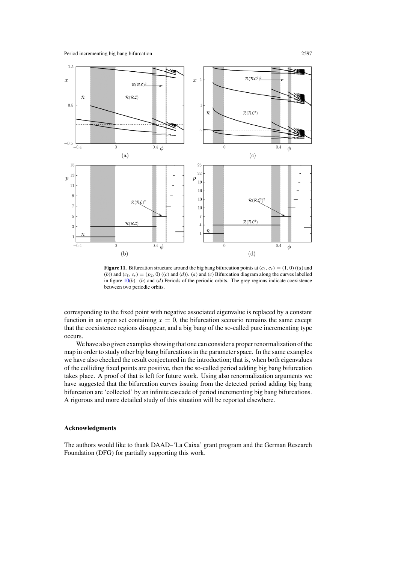<span id="page-23-0"></span>

**Figure 11.** Bifurcation structure around the big bang bifurcation points at  $(c_{\ell}, c_r) = (1, 0)$   $((a)$  and (*b*)) and  $(c_{\ell}, c_r) = (p_2, 0)$  ((*c*) and (*d*)). (*a*) and (*c*) Bifurcation diagram along the curves labelled in figure  $10(b)$  $10(b)$ . (*b*) and (*d*) Periods of the periodic orbits. The grey regions indicate coexistence between two periodic orbits.

corresponding to the fixed point with negative associated eigenvalue is replaced by a constant function in an open set containing  $x = 0$ , the bifurcation scenario remains the same except that the coexistence regions disappear, and a big bang of the so-called pure incrementing type occurs.

We have also given examples showing that one can consider a proper renormalization of the map in order to study other big bang bifurcations in the parameter space. In the same examples we have also checked the result conjectured in the introduction; that is, when both eigenvalues of the colliding fixed points are positive, then the so-called period adding big bang bifurcation takes place. A proof of that is left for future work. Using also renormalization arguments we have suggested that the bifurcation curves issuing from the detected period adding big bang bifurcation are 'collected' by an infinite cascade of period incrementing big bang bifurcations. A rigorous and more detailed study of this situation will be reported elsewhere.

## **Acknowledgments**

The authors would like to thank DAAD–'La Caixa' grant program and the German Research Foundation (DFG) for partially supporting this work.